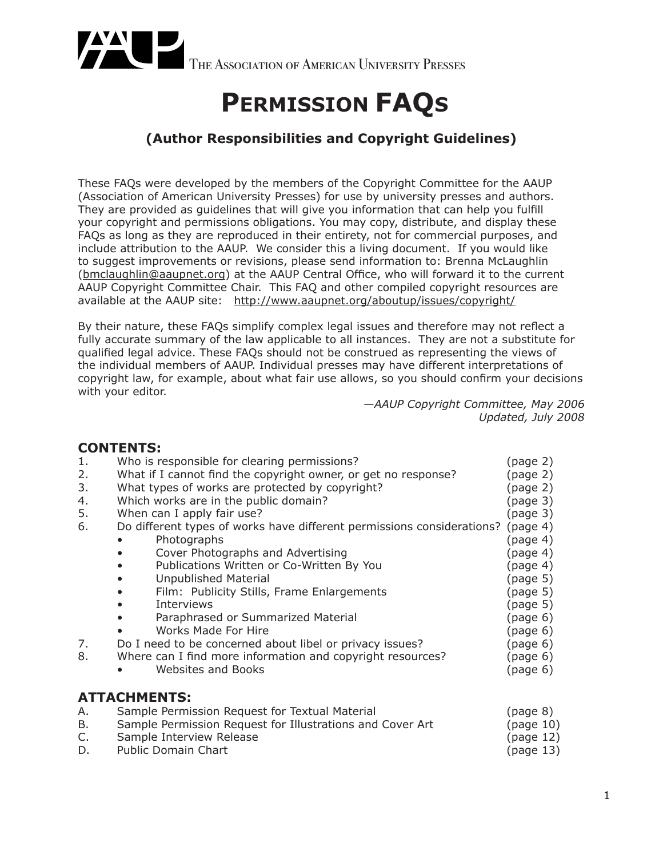

# **PERMISSION FAQS**

### **(Author Responsibilities and Copyright Guidelines)**

These FAQs were developed by the members of the Copyright Committee for the AAUP (Association of American University Presses) for use by university presses and authors. They are provided as guidelines that will give you information that can help you fulfill your copyright and permissions obligations. You may copy, distribute, and display these FAQs as long as they are reproduced in their entirety, not for commercial purposes, and include attribution to the AAUP. We consider this a living document. If you would like to suggest improvements or revisions, please send information to: Brenna McLaughlin (bmclaughlin@aaupnet.org) at the AAUP Central Office, who will forward it to the current AAUP Copyright Committee Chair. This FAQ and other compiled copyright resources are available at the AAUP site: http://www.aaupnet.org/aboutup/issues/copyright/

By their nature, these FAQs simplify complex legal issues and therefore may not reflect a fully accurate summary of the law applicable to all instances. They are not a substitute for qualified legal advice. These FAQs should not be construed as representing the views of the individual members of AAUP. Individual presses may have different interpretations of copyright law, for example, about what fair use allows, so you should confirm your decisions with your editor.

*—AAUP Copyright Committee, May 2006 Updated, July 2008*

### **CONTENTS:**

| 1. | Who is responsible for clearing permissions?                           | (page 2)             |
|----|------------------------------------------------------------------------|----------------------|
| 2. | What if I cannot find the copyright owner, or get no response?         | (page 2)             |
| 3. | What types of works are protected by copyright?                        | (page 2)             |
| 4. | Which works are in the public domain?                                  | (page <sub>3</sub> ) |
| 5. | When can I apply fair use?                                             | (page 3)             |
| 6. | Do different types of works have different permissions considerations? | (page 4)             |
|    | Photographs                                                            | (page 4)             |
|    | Cover Photographs and Advertising                                      | (page 4)             |
|    | Publications Written or Co-Written By You                              | (page 4)             |
|    | Unpublished Material                                                   | (page 5)             |
|    | Film: Publicity Stills, Frame Enlargements                             | (page 5)             |
|    | Interviews                                                             | (page 5)             |
|    | Paraphrased or Summarized Material                                     | (page 6)             |
|    | Works Made For Hire                                                    | (page 6)             |
| 7. | Do I need to be concerned about libel or privacy issues?               | (page 6)             |
| 8. | Where can I find more information and copyright resources?             | (page 6)             |
|    | Websites and Books                                                     | (page 6)             |
|    | <b>ATTACHMENTS:</b>                                                    |                      |
| А. | Sample Permission Request for Textual Material                         | (page 8)             |
| В. | Sample Permission Request for Illustrations and Cover Art              | (page 10)            |
| C. | Sample Interview Release                                               | (page 12)            |

D. Public Domain Chart (page 13)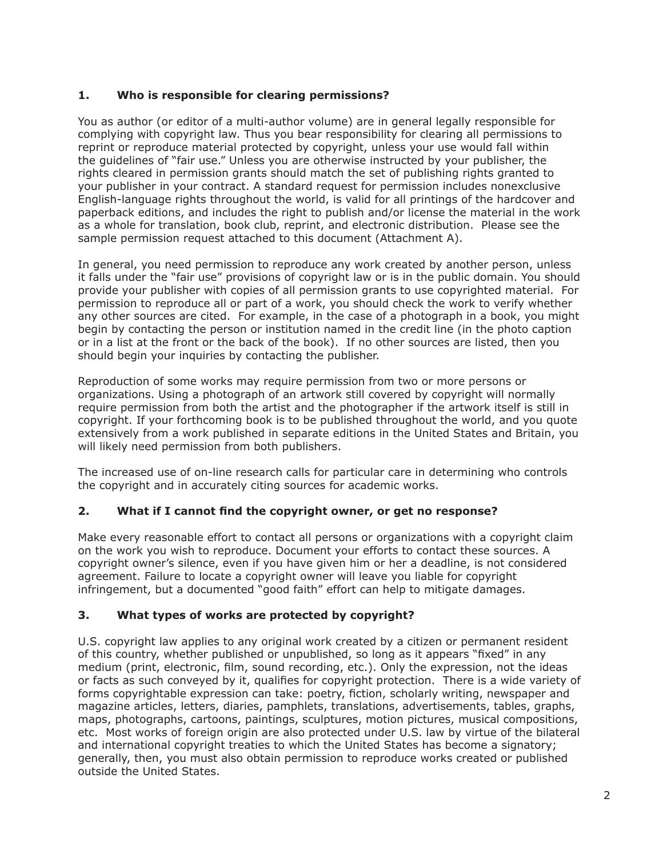### **1. Who is responsible for clearing permissions?**

You as author (or editor of a multi-author volume) are in general legally responsible for complying with copyright law. Thus you bear responsibility for clearing all permissions to reprint or reproduce material protected by copyright, unless your use would fall within the guidelines of "fair use." Unless you are otherwise instructed by your publisher, the rights cleared in permission grants should match the set of publishing rights granted to your publisher in your contract. A standard request for permission includes nonexclusive English-language rights throughout the world, is valid for all printings of the hardcover and paperback editions, and includes the right to publish and/or license the material in the work as a whole for translation, book club, reprint, and electronic distribution. Please see the sample permission request attached to this document (Attachment A).

In general, you need permission to reproduce any work created by another person, unless it falls under the "fair use" provisions of copyright law or is in the public domain. You should provide your publisher with copies of all permission grants to use copyrighted material. For permission to reproduce all or part of a work, you should check the work to verify whether any other sources are cited. For example, in the case of a photograph in a book, you might begin by contacting the person or institution named in the credit line (in the photo caption or in a list at the front or the back of the book). If no other sources are listed, then you should begin your inquiries by contacting the publisher.

Reproduction of some works may require permission from two or more persons or organizations. Using a photograph of an artwork still covered by copyright will normally require permission from both the artist and the photographer if the artwork itself is still in copyright. If your forthcoming book is to be published throughout the world, and you quote extensively from a work published in separate editions in the United States and Britain, you will likely need permission from both publishers.

The increased use of on-line research calls for particular care in determining who controls the copyright and in accurately citing sources for academic works.

### **2. What if I cannot find the copyright owner, or get no response?**

Make every reasonable effort to contact all persons or organizations with a copyright claim on the work you wish to reproduce. Document your efforts to contact these sources. A copyright owner's silence, even if you have given him or her a deadline, is not considered agreement. Failure to locate a copyright owner will leave you liable for copyright infringement, but a documented "good faith" effort can help to mitigate damages.

### **3. What types of works are protected by copyright?**

U.S. copyright law applies to any original work created by a citizen or permanent resident of this country, whether published or unpublished, so long as it appears "fixed" in any medium (print, electronic, film, sound recording, etc.). Only the expression, not the ideas or facts as such conveyed by it, qualifies for copyright protection. There is a wide variety of forms copyrightable expression can take: poetry, fiction, scholarly writing, newspaper and magazine articles, letters, diaries, pamphlets, translations, advertisements, tables, graphs, maps, photographs, cartoons, paintings, sculptures, motion pictures, musical compositions, etc. Most works of foreign origin are also protected under U.S. law by virtue of the bilateral and international copyright treaties to which the United States has become a signatory; generally, then, you must also obtain permission to reproduce works created or published outside the United States.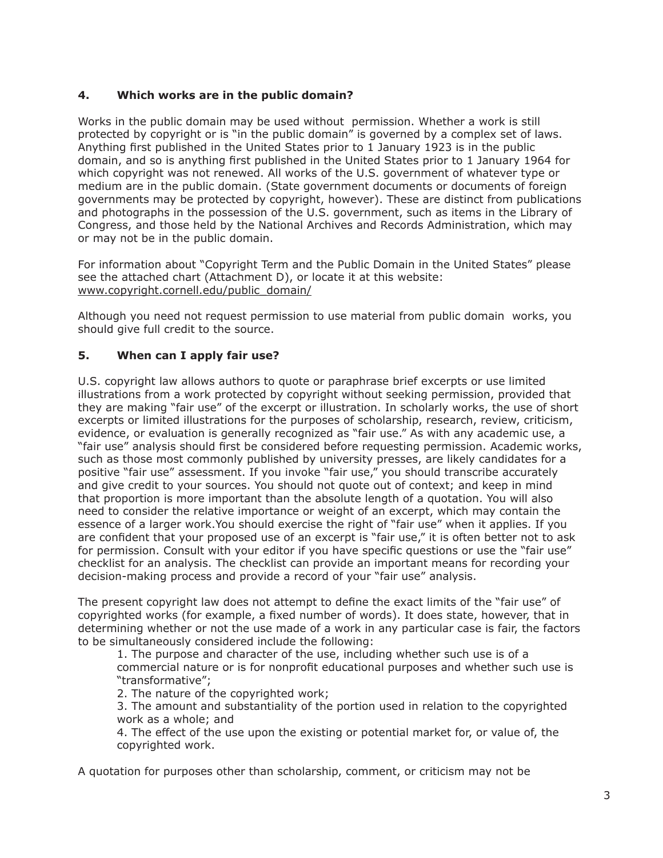### **4. Which works are in the public domain?**

Works in the public domain may be used without permission. Whether a work is still protected by copyright or is "in the public domain" is governed by a complex set of laws. Anything first published in the United States prior to 1 January 1923 is in the public domain, and so is anything first published in the United States prior to 1 January 1964 for which copyright was not renewed. All works of the U.S. government of whatever type or medium are in the public domain. (State government documents or documents of foreign governments may be protected by copyright, however). These are distinct from publications and photographs in the possession of the U.S. government, such as items in the Library of Congress, and those held by the National Archives and Records Administration, which may or may not be in the public domain.

For information about "Copyright Term and the Public Domain in the United States" please see the attached chart (Attachment D), or locate it at this website: www.copyright.cornell.edu/public\_domain/

Although you need not request permission to use material from public domain works, you should give full credit to the source.

### **5. When can I apply fair use?**

U.S. copyright law allows authors to quote or paraphrase brief excerpts or use limited illustrations from a work protected by copyright without seeking permission, provided that they are making "fair use" of the excerpt or illustration. In scholarly works, the use of short excerpts or limited illustrations for the purposes of scholarship, research, review, criticism, evidence, or evaluation is generally recognized as "fair use." As with any academic use, a "fair use" analysis should first be considered before requesting permission. Academic works, such as those most commonly published by university presses, are likely candidates for a positive "fair use" assessment. If you invoke "fair use," you should transcribe accurately and give credit to your sources. You should not quote out of context; and keep in mind that proportion is more important than the absolute length of a quotation. You will also need to consider the relative importance or weight of an excerpt, which may contain the essence of a larger work.You should exercise the right of "fair use" when it applies. If you are confident that your proposed use of an excerpt is "fair use," it is often better not to ask for permission. Consult with your editor if you have specific questions or use the "fair use" checklist for an analysis. The checklist can provide an important means for recording your decision-making process and provide a record of your "fair use" analysis.

The present copyright law does not attempt to define the exact limits of the "fair use" of copyrighted works (for example, a fixed number of words). It does state, however, that in determining whether or not the use made of a work in any particular case is fair, the factors to be simultaneously considered include the following:

1. The purpose and character of the use, including whether such use is of a commercial nature or is for nonprofit educational purposes and whether such use is "transformative";

2. The nature of the copyrighted work;

3. The amount and substantiality of the portion used in relation to the copyrighted work as a whole; and

4. The effect of the use upon the existing or potential market for, or value of, the copyrighted work.

A quotation for purposes other than scholarship, comment, or criticism may not be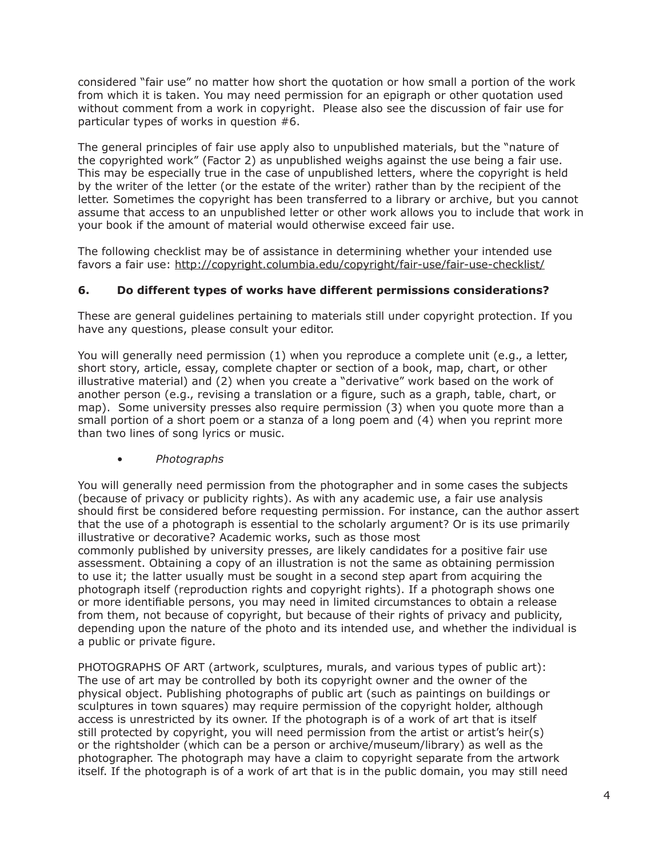considered "fair use" no matter how short the quotation or how small a portion of the work from which it is taken. You may need permission for an epigraph or other quotation used without comment from a work in copyright. Please also see the discussion of fair use for particular types of works in question #6.

The general principles of fair use apply also to unpublished materials, but the "nature of the copyrighted work" (Factor 2) as unpublished weighs against the use being a fair use. This may be especially true in the case of unpublished letters, where the copyright is held by the writer of the letter (or the estate of the writer) rather than by the recipient of the letter. Sometimes the copyright has been transferred to a library or archive, but you cannot assume that access to an unpublished letter or other work allows you to include that work in your book if the amount of material would otherwise exceed fair use.

The following checklist may be of assistance in determining whether your intended use favors a fair use: http://copyright.columbia.edu/copyright/fair-use/fair-use-checklist/

#### **6. Do different types of works have different permissions considerations?**

These are general guidelines pertaining to materials still under copyright protection. If you have any questions, please consult your editor.

You will generally need permission (1) when you reproduce a complete unit (e.g., a letter, short story, article, essay, complete chapter or section of a book, map, chart, or other illustrative material) and (2) when you create a "derivative" work based on the work of another person (e.g., revising a translation or a figure, such as a graph, table, chart, or map). Some university presses also require permission (3) when you quote more than a small portion of a short poem or a stanza of a long poem and (4) when you reprint more than two lines of song lyrics or music.

• *Photographs*

a public or private figure.

You will generally need permission from the photographer and in some cases the subjects (because of privacy or publicity rights). As with any academic use, a fair use analysis should first be considered before requesting permission. For instance, can the author assert that the use of a photograph is essential to the scholarly argument? Or is its use primarily illustrative or decorative? Academic works, such as those most commonly published by university presses, are likely candidates for a positive fair use assessment. Obtaining a copy of an illustration is not the same as obtaining permission to use it; the latter usually must be sought in a second step apart from acquiring the photograph itself (reproduction rights and copyright rights). If a photograph shows one or more identifiable persons, you may need in limited circumstances to obtain a release from them, not because of copyright, but because of their rights of privacy and publicity, depending upon the nature of the photo and its intended use, and whether the individual is

PHOTOGRAPHS OF ART (artwork, sculptures, murals, and various types of public art): The use of art may be controlled by both its copyright owner and the owner of the physical object. Publishing photographs of public art (such as paintings on buildings or sculptures in town squares) may require permission of the copyright holder, although access is unrestricted by its owner. If the photograph is of a work of art that is itself still protected by copyright, you will need permission from the artist or artist's heir(s) or the rightsholder (which can be a person or archive/museum/library) as well as the photographer. The photograph may have a claim to copyright separate from the artwork itself. If the photograph is of a work of art that is in the public domain, you may still need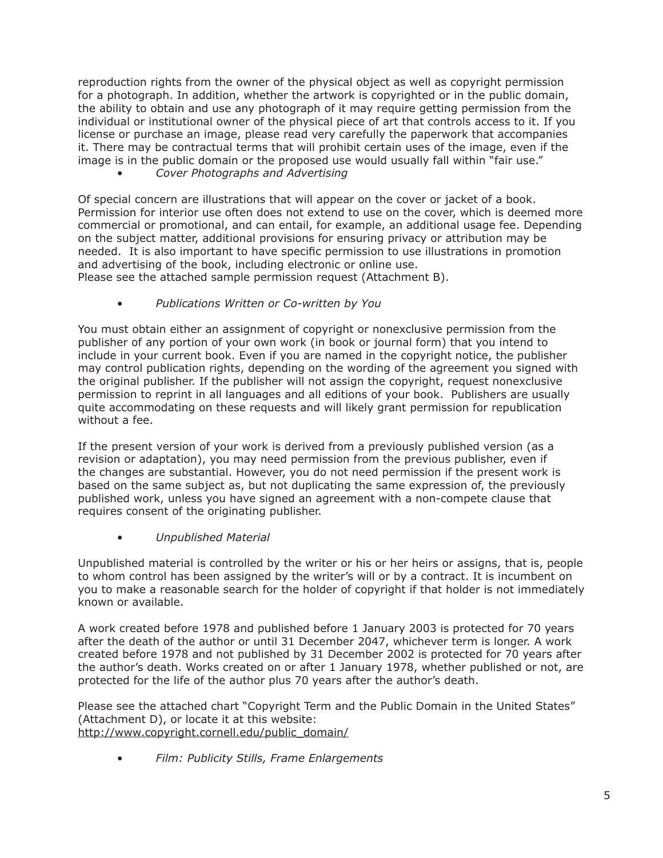reproduction rights from the owner of the physical object as well as copyright permission for a photograph. In addition, whether the artwork is copyrighted or in the public domain, the ability to obtain and use any photograph of it may require getting permission from the individual or institutional owner of the physical piece of art that controls access to it. If you license or purchase an image, please read very carefully the paperwork that accompanies it. There may be contractual terms that will prohibit certain uses of the image, even if the image is in the public domain or the proposed use would usually fall within "fair use."

• *Cover Photographs and Advertising*

Of special concern are illustrations that will appear on the cover or jacket of a book. Permission for interior use often does not extend to use on the cover, which is deemed more commercial or promotional, and can entail, for example, an additional usage fee. Depending on the subject matter, additional provisions for ensuring privacy or attribution may be needed. It is also important to have specific permission to use illustrations in promotion and advertising of the book, including electronic or online use.

Please see the attached sample permission request (Attachment B).

• *Publications Written or Co-written by You*

You must obtain either an assignment of copyright or nonexclusive permission from the publisher of any portion of your own work (in book or journal form) that you intend to include in your current book. Even if you are named in the copyright notice, the publisher may control publication rights, depending on the wording of the agreement you signed with the original publisher. If the publisher will not assign the copyright, request nonexclusive permission to reprint in all languages and all editions of your book. Publishers are usually quite accommodating on these requests and will likely grant permission for republication without a fee.

If the present version of your work is derived from a previously published version (as a revision or adaptation), you may need permission from the previous publisher, even if the changes are substantial. However, you do not need permission if the present work is based on the same subject as, but not duplicating the same expression of, the previously published work, unless you have signed an agreement with a non-compete clause that requires consent of the originating publisher.

• *Unpublished Material*

Unpublished material is controlled by the writer or his or her heirs or assigns, that is, people to whom control has been assigned by the writer's will or by a contract. It is incumbent on you to make a reasonable search for the holder of copyright if that holder is not immediately known or available.

A work created before 1978 and published before 1 January 2003 is protected for 70 years after the death of the author or until 31 December 2047, whichever term is longer. A work created before 1978 and not published by 31 December 2002 is protected for 70 years after the author's death. Works created on or after 1 January 1978, whether published or not, are protected for the life of the author plus 70 years after the author's death.

Please see the attached chart "Copyright Term and the Public Domain in the United States" (Attachment D), or locate it at this website: http://www.copyright.cornell.edu/public\_domain/

• *Film: Publicity Stills, Frame Enlargements*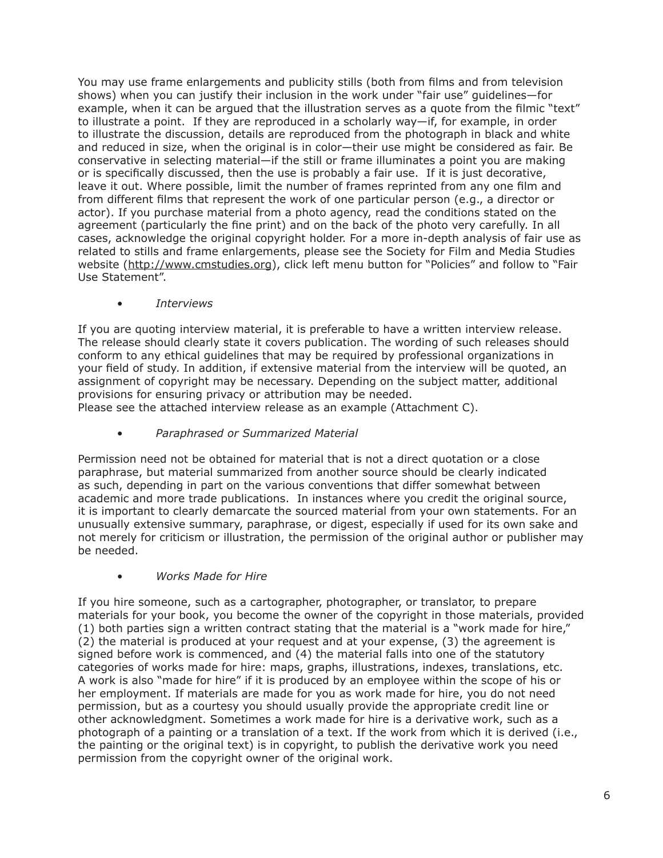You may use frame enlargements and publicity stills (both from films and from television shows) when you can justify their inclusion in the work under "fair use" guidelines—for example, when it can be argued that the illustration serves as a quote from the filmic "text" to illustrate a point. If they are reproduced in a scholarly way—if, for example, in order to illustrate the discussion, details are reproduced from the photograph in black and white and reduced in size, when the original is in color—their use might be considered as fair. Be conservative in selecting material—if the still or frame illuminates a point you are making or is specifically discussed, then the use is probably a fair use. If it is just decorative, leave it out. Where possible, limit the number of frames reprinted from any one film and from different films that represent the work of one particular person (e.g., a director or actor). If you purchase material from a photo agency, read the conditions stated on the agreement (particularly the fine print) and on the back of the photo very carefully. In all cases, acknowledge the original copyright holder. For a more in-depth analysis of fair use as related to stills and frame enlargements, please see the Society for Film and Media Studies website (http://www.cmstudies.org), click left menu button for "Policies" and follow to "Fair Use Statement".

• *Interviews*

If you are quoting interview material, it is preferable to have a written interview release. The release should clearly state it covers publication. The wording of such releases should conform to any ethical guidelines that may be required by professional organizations in your field of study. In addition, if extensive material from the interview will be quoted, an assignment of copyright may be necessary. Depending on the subject matter, additional provisions for ensuring privacy or attribution may be needed.

Please see the attached interview release as an example (Attachment C).

• *Paraphrased or Summarized Material*

Permission need not be obtained for material that is not a direct quotation or a close paraphrase, but material summarized from another source should be clearly indicated as such, depending in part on the various conventions that differ somewhat between academic and more trade publications. In instances where you credit the original source, it is important to clearly demarcate the sourced material from your own statements. For an unusually extensive summary, paraphrase, or digest, especially if used for its own sake and not merely for criticism or illustration, the permission of the original author or publisher may be needed.

• *Works Made for Hire*

If you hire someone, such as a cartographer, photographer, or translator, to prepare materials for your book, you become the owner of the copyright in those materials, provided (1) both parties sign a written contract stating that the material is a "work made for hire," (2) the material is produced at your request and at your expense, (3) the agreement is signed before work is commenced, and (4) the material falls into one of the statutory categories of works made for hire: maps, graphs, illustrations, indexes, translations, etc. A work is also "made for hire" if it is produced by an employee within the scope of his or her employment. If materials are made for you as work made for hire, you do not need permission, but as a courtesy you should usually provide the appropriate credit line or other acknowledgment. Sometimes a work made for hire is a derivative work, such as a photograph of a painting or a translation of a text. If the work from which it is derived (i.e., the painting or the original text) is in copyright, to publish the derivative work you need permission from the copyright owner of the original work.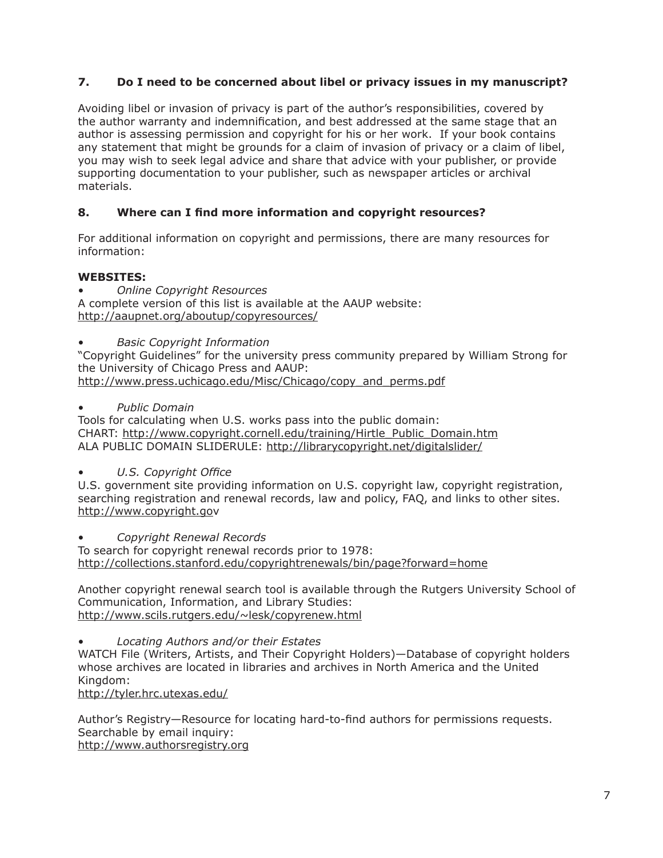### **7. Do I need to be concerned about libel or privacy issues in my manuscript?**

Avoiding libel or invasion of privacy is part of the author's responsibilities, covered by the author warranty and indemnification, and best addressed at the same stage that an author is assessing permission and copyright for his or her work. If your book contains any statement that might be grounds for a claim of invasion of privacy or a claim of libel, you may wish to seek legal advice and share that advice with your publisher, or provide supporting documentation to your publisher, such as newspaper articles or archival materials.

### **8. Where can I find more information and copyright resources?**

For additional information on copyright and permissions, there are many resources for information:

### **WEBSITES:**

• *Online Copyright Resources*

A complete version of this list is available at the AAUP website: http://aaupnet.org/aboutup/copyresources/

• *Basic Copyright Information*

"Copyright Guidelines" for the university press community prepared by William Strong for the University of Chicago Press and AAUP: http://www.press.uchicago.edu/Misc/Chicago/copy\_and\_perms.pdf

• *Public Domain*

Tools for calculating when U.S. works pass into the public domain: CHART: http://www.copyright.cornell.edu/training/Hirtle\_Public\_Domain.htm ALA PUBLIC DOMAIN SLIDERULE: http://librarycopyright.net/digitalslider/

• *U.S. Copyright Office*

U.S. government site providing information on U.S. copyright law, copyright registration, searching registration and renewal records, law and policy, FAQ, and links to other sites. http://www.copyright.gov

• *Copyright Renewal Records*

To search for copyright renewal records prior to 1978: http://collections.stanford.edu/copyrightrenewals/bin/page?forward=home

Another copyright renewal search tool is available through the Rutgers University School of Communication, Information, and Library Studies: http://www.scils.rutgers.edu/~lesk/copyrenew.html

• *Locating Authors and/or their Estates* WATCH File (Writers, Artists, and Their Copyright Holders)—Database of copyright holders whose archives are located in libraries and archives in North America and the United Kingdom:

http://tyler.hrc.utexas.edu/

Author's Registry—Resource for locating hard-to-find authors for permissions requests. Searchable by email inquiry: http://www.authorsregistry.org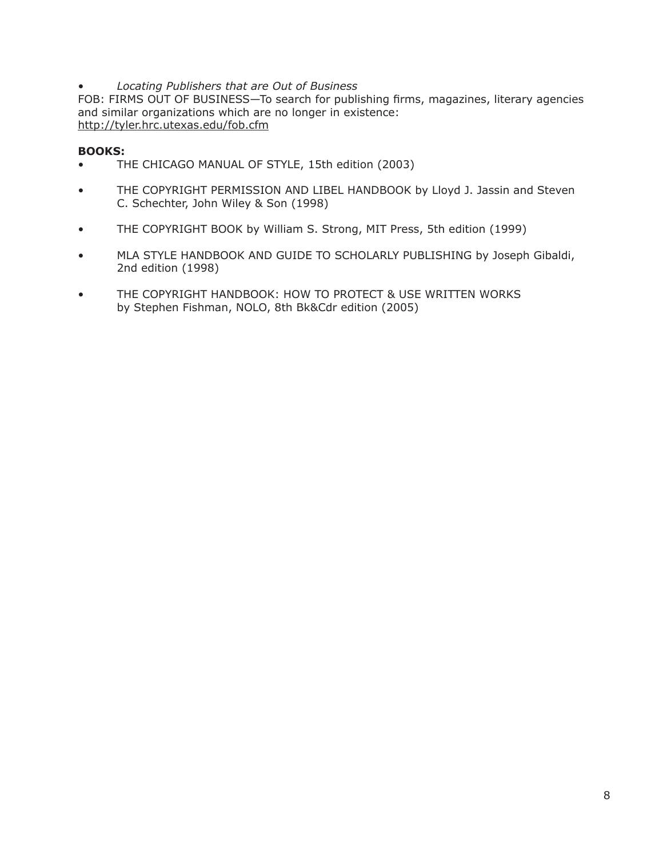### • *Locating Publishers that are Out of Business*

FOB: FIRMS OUT OF BUSINESS—To search for publishing firms, magazines, literary agencies and similar organizations which are no longer in existence: http://tyler.hrc.utexas.edu/fob.cfm

### **BOOKS:**

- THE CHICAGO MANUAL OF STYLE, 15th edition (2003)
- THE COPYRIGHT PERMISSION AND LIBEL HANDBOOK by Lloyd J. Jassin and Steven C. Schechter, John Wiley & Son (1998)
- THE COPYRIGHT BOOK by William S. Strong, MIT Press, 5th edition (1999)
- MLA STYLE HANDBOOK AND GUIDE TO SCHOLARLY PUBLISHING by Joseph Gibaldi, 2nd edition (1998)
- THE COPYRIGHT HANDBOOK: HOW TO PROTECT & USE WRITTEN WORKS by Stephen Fishman, NOLO, 8th Bk&Cdr edition (2005)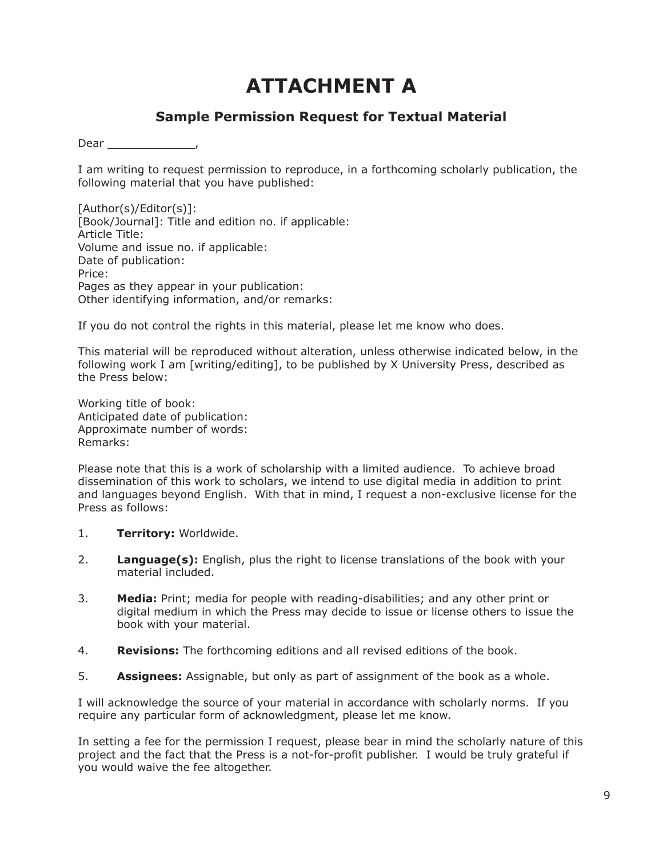### **ATTACHMENT A**

### **Sample Permission Request for Textual Material**

Dear ,

I am writing to request permission to reproduce, in a forthcoming scholarly publication, the following material that you have published:

[Author(s)/Editor(s)]: [Book/Journal]: Title and edition no. if applicable: Article Title: Volume and issue no. if applicable: Date of publication: Price: Pages as they appear in your publication: Other identifying information, and/or remarks:

If you do not control the rights in this material, please let me know who does.

This material will be reproduced without alteration, unless otherwise indicated below, in the following work I am [writing/editing], to be published by X University Press, described as the Press below:

Working title of book: Anticipated date of publication: Approximate number of words: Remarks:

Please note that this is a work of scholarship with a limited audience. To achieve broad dissemination of this work to scholars, we intend to use digital media in addition to print and languages beyond English. With that in mind, I request a non-exclusive license for the Press as follows:

- 1. **Territory:** Worldwide.
- 2. **Language(s):** English, plus the right to license translations of the book with your material included.
- 3. **Media:** Print; media for people with reading-disabilities; and any other print or digital medium in which the Press may decide to issue or license others to issue the book with your material.
- 4. **Revisions:** The forthcoming editions and all revised editions of the book.
- 5. **Assignees:** Assignable, but only as part of assignment of the book as a whole.

I will acknowledge the source of your material in accordance with scholarly norms. If you require any particular form of acknowledgment, please let me know.

In setting a fee for the permission I request, please bear in mind the scholarly nature of this project and the fact that the Press is a not-for-profit publisher. I would be truly grateful if you would waive the fee altogether.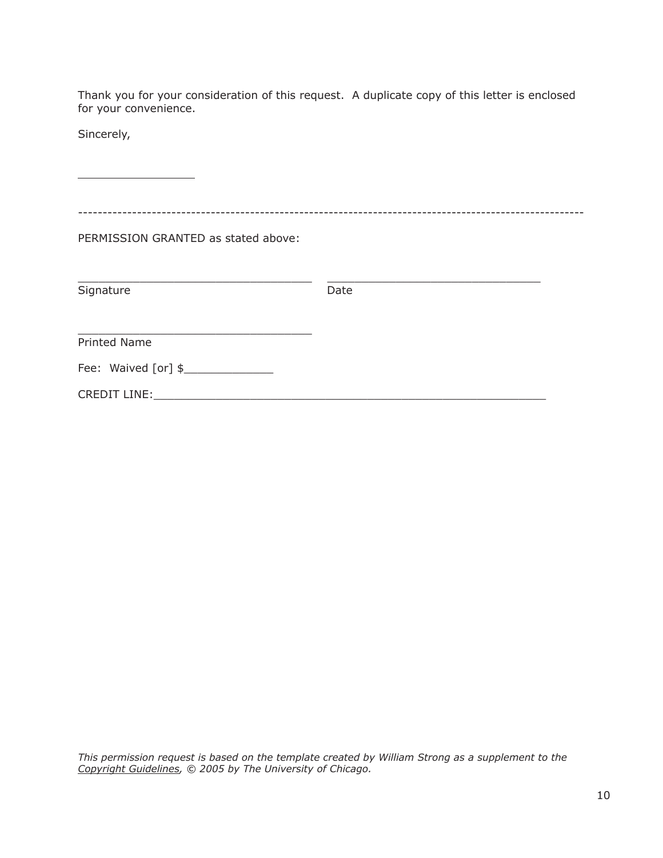Thank you for your consideration of this request. A duplicate copy of this letter is enclosed for your convenience.

Sincerely,

| PERMISSION GRANTED as stated above: |      |
|-------------------------------------|------|
| Signature                           | Date |
| <b>Printed Name</b>                 |      |
| Fee: Waived [or] \$                 |      |
| CREDIT LINE:                        |      |

*This permission request is based on the template created by William Strong as a supplement to the Copyright Guidelines, © 2005 by The University of Chicago.*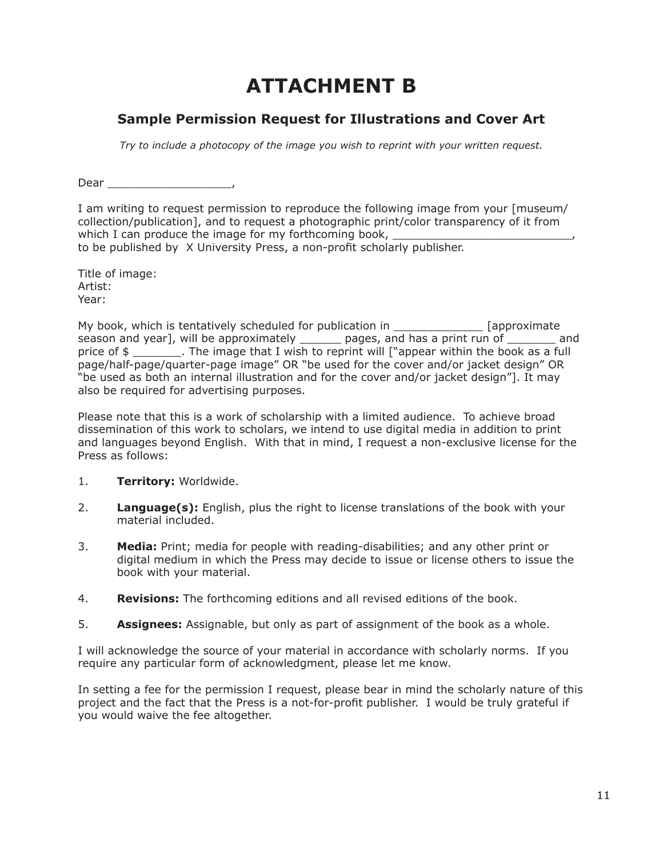## **ATTACHMENT B**

### **Sample Permission Request for Illustrations and Cover Art**

*Try to include a photocopy of the image you wish to reprint with your written request.*

Dear \_\_\_\_\_\_\_\_\_\_\_\_\_\_\_\_\_\_,

I am writing to request permission to reproduce the following image from your [museum/ collection/publication], and to request a photographic print/color transparency of it from which I can produce the image for my forthcoming book, to be published by X University Press, a non-profit scholarly publisher.

Title of image: Artist: Year:

My book, which is tentatively scheduled for publication in \_\_\_\_\_\_\_\_\_\_\_\_\_\_\_\_ [approximate season and year], will be approximately \_\_\_\_\_\_\_ pages, and has a print run of \_\_\_\_\_\_\_\_ and price of \$ \_\_\_\_\_\_\_\_\_. The image that I wish to reprint will ["appear within the book as a full page/half-page/quarter-page image" OR "be used for the cover and/or jacket design" OR "be used as both an internal illustration and for the cover and/or jacket design"]. It may also be required for advertising purposes.

Please note that this is a work of scholarship with a limited audience. To achieve broad dissemination of this work to scholars, we intend to use digital media in addition to print and languages beyond English. With that in mind, I request a non-exclusive license for the Press as follows:

- 1. **Territory:** Worldwide.
- 2. **Language(s):** English, plus the right to license translations of the book with your material included.
- 3. **Media:** Print; media for people with reading-disabilities; and any other print or digital medium in which the Press may decide to issue or license others to issue the book with your material.
- 4. **Revisions:** The forthcoming editions and all revised editions of the book.
- 5. **Assignees:** Assignable, but only as part of assignment of the book as a whole.

I will acknowledge the source of your material in accordance with scholarly norms. If you require any particular form of acknowledgment, please let me know.

In setting a fee for the permission I request, please bear in mind the scholarly nature of this project and the fact that the Press is a not-for-profit publisher. I would be truly grateful if you would waive the fee altogether.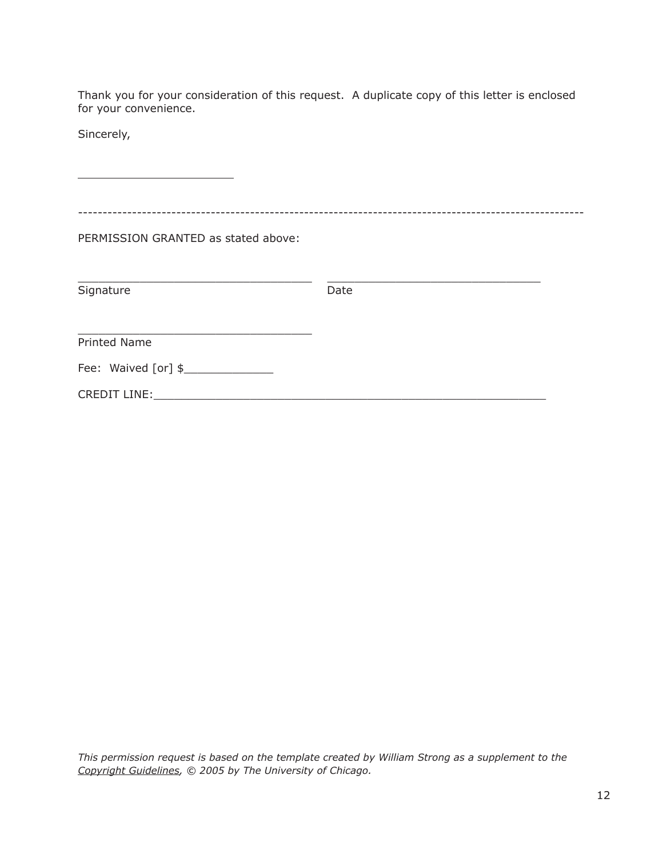Thank you for your consideration of this request. A duplicate copy of this letter is enclosed for your convenience.

Sincerely,

| PERMISSION GRANTED as stated above: |      |
|-------------------------------------|------|
|                                     |      |
| Signature                           | Date |
| <b>Printed Name</b>                 |      |
| Fee: Waived [or] \$                 |      |
| CREDIT LINE:                        |      |

*This permission request is based on the template created by William Strong as a supplement to the Copyright Guidelines, © 2005 by The University of Chicago.*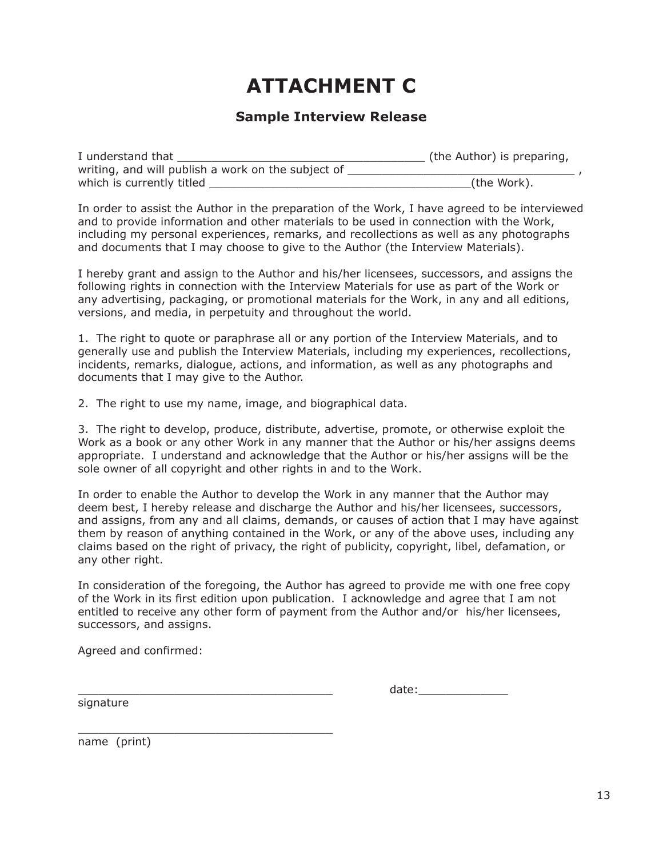### **ATTACHMENT C**

### **Sample Interview Release**

| I understand that                                  | (the Author) is preparing, |
|----------------------------------------------------|----------------------------|
| writing, and will publish a work on the subject of |                            |
| which is currently titled                          | (the Work).                |

In order to assist the Author in the preparation of the Work, I have agreed to be interviewed and to provide information and other materials to be used in connection with the Work, including my personal experiences, remarks, and recollections as well as any photographs and documents that I may choose to give to the Author (the Interview Materials).

I hereby grant and assign to the Author and his/her licensees, successors, and assigns the following rights in connection with the Interview Materials for use as part of the Work or any advertising, packaging, or promotional materials for the Work, in any and all editions, versions, and media, in perpetuity and throughout the world.

1. The right to quote or paraphrase all or any portion of the Interview Materials, and to generally use and publish the Interview Materials, including my experiences, recollections, incidents, remarks, dialogue, actions, and information, as well as any photographs and documents that I may give to the Author.

2. The right to use my name, image, and biographical data.

3. The right to develop, produce, distribute, advertise, promote, or otherwise exploit the Work as a book or any other Work in any manner that the Author or his/her assigns deems appropriate. I understand and acknowledge that the Author or his/her assigns will be the sole owner of all copyright and other rights in and to the Work.

In order to enable the Author to develop the Work in any manner that the Author may deem best, I hereby release and discharge the Author and his/her licensees, successors, and assigns, from any and all claims, demands, or causes of action that I may have against them by reason of anything contained in the Work, or any of the above uses, including any claims based on the right of privacy, the right of publicity, copyright, libel, defamation, or any other right.

In consideration of the foregoing, the Author has agreed to provide me with one free copy of the Work in its first edition upon publication. I acknowledge and agree that I am not entitled to receive any other form of payment from the Author and/or his/her licensees, successors, and assigns.

Agreed and confirmed:

\_\_\_\_\_\_\_\_\_\_\_\_\_\_\_\_\_\_\_\_\_\_\_\_\_\_\_\_\_\_\_\_\_\_\_\_\_

\_\_\_\_\_\_\_\_\_\_\_\_\_\_\_\_\_\_\_\_\_\_\_\_\_\_\_\_\_\_\_\_\_\_\_\_\_ date:\_\_\_\_\_\_\_\_\_\_\_\_\_

signature

name (print)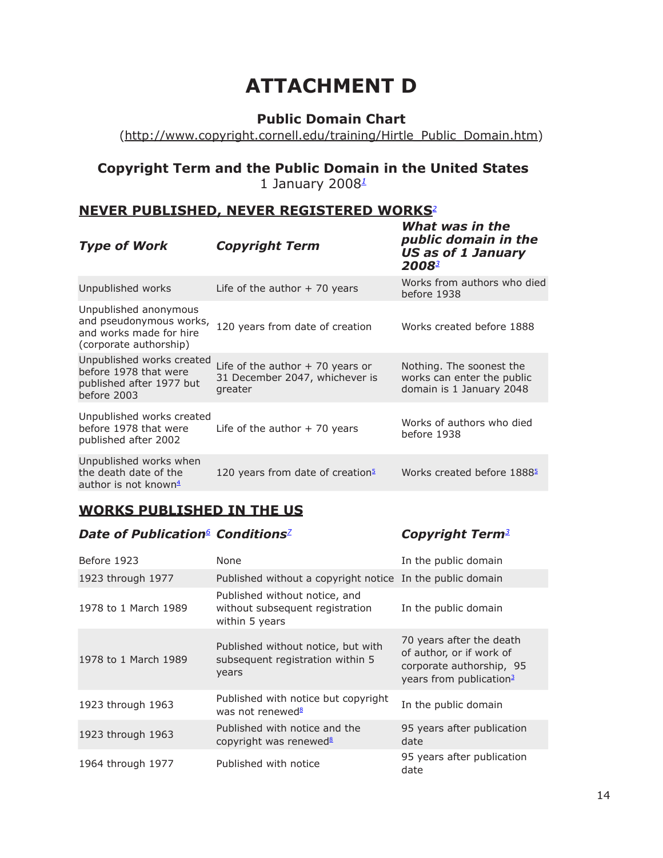### **ATTACHMENT D**

### **Public Domain Chart**

(http://www.copyright.cornell.edu/training/Hirtle\_Public\_Domain.htm)

### **Copyright Term and the Public Domain in the United States** 1 January 2008*<sup>1</sup>*

### **NEVER PUBLISHED, NEVER REGISTERED WORKS***<sup>2</sup>*

| <b>Type of Work</b>                                                                                   | <b>Copyright Term</b>                                                          | public domain in the<br><b>US as of 1 January</b><br>20083                         |
|-------------------------------------------------------------------------------------------------------|--------------------------------------------------------------------------------|------------------------------------------------------------------------------------|
| Unpublished works                                                                                     | Life of the author $+$ 70 years                                                | Works from authors who died<br>before 1938                                         |
| Unpublished anonymous<br>and pseudonymous works,<br>and works made for hire<br>(corporate authorship) | 120 years from date of creation                                                | Works created before 1888                                                          |
| Unpublished works created<br>before 1978 that were<br>published after 1977 but<br>before 2003         | Life of the author $+70$ years or<br>31 December 2047, whichever is<br>greater | Nothing. The soonest the<br>works can enter the public<br>domain is 1 January 2048 |
| Unpublished works created<br>before 1978 that were<br>published after 2002                            | Life of the author $+$ 70 years                                                | Works of authors who died<br>before 1938                                           |
| Unpublished works when<br>the death date of the<br>author is not known $4$                            | 120 years from date of creation <sup>5</sup>                                   | Works created before 1888 <sup>5</sup>                                             |

### **WORKS PUBLISHED IN THE US**

### *Date of Publication6  Conditions<sup>7</sup> Copyright Term<sup>3</sup>*

*What was in the* 

| Before 1923          | None                                                                               | In the public domain                                                                                                    |
|----------------------|------------------------------------------------------------------------------------|-------------------------------------------------------------------------------------------------------------------------|
| 1923 through 1977    | Published without a copyright notice In the public domain                          |                                                                                                                         |
| 1978 to 1 March 1989 | Published without notice, and<br>without subsequent registration<br>within 5 years | In the public domain                                                                                                    |
| 1978 to 1 March 1989 | Published without notice, but with<br>subsequent registration within 5<br>years    | 70 years after the death<br>of author, or if work of<br>corporate authorship, 95<br>years from publication <sup>3</sup> |
| 1923 through 1963    | Published with notice but copyright<br>was not renewed <sup>8</sup>                | In the public domain                                                                                                    |
| 1923 through 1963    | Published with notice and the<br>copyright was renewed <sup>8</sup>                | 95 years after publication<br>date                                                                                      |
| 1964 through 1977    | Published with notice                                                              | 95 years after publication<br>date                                                                                      |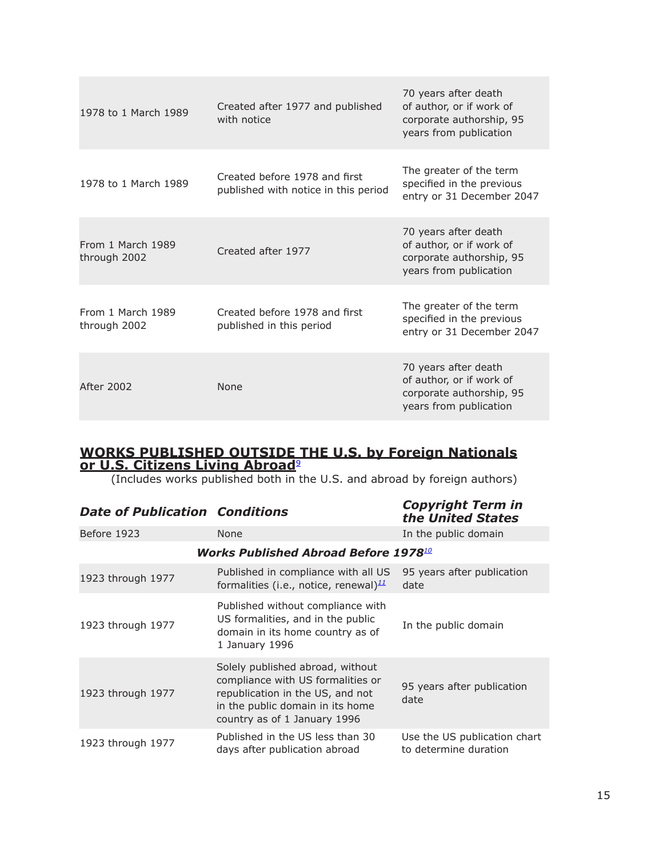| 1978 to 1 March 1989              | Created after 1977 and published<br>with notice                       | 70 years after death<br>of author, or if work of<br>corporate authorship, 95<br>years from publication |
|-----------------------------------|-----------------------------------------------------------------------|--------------------------------------------------------------------------------------------------------|
| 1978 to 1 March 1989              | Created before 1978 and first<br>published with notice in this period | The greater of the term<br>specified in the previous<br>entry or 31 December 2047                      |
| From 1 March 1989<br>through 2002 | Created after 1977                                                    | 70 years after death<br>of author, or if work of<br>corporate authorship, 95<br>years from publication |
| From 1 March 1989<br>through 2002 | Created before 1978 and first<br>published in this period             | The greater of the term<br>specified in the previous<br>entry or 31 December 2047                      |
| After 2002                        | None                                                                  | 70 years after death<br>of author, or if work of<br>corporate authorship, 95<br>years from publication |

### **WORKS PUBLISHED OUTSIDE THE U.S. by Foreign Nationals or U.S. Citizens Living Abroad**<sup>9</sup>

(Includes works published both in the U.S. and abroad by foreign authors)

| <b>Date of Publication Conditions</b> |                                                                                                                                                                               | <b>Copyright Term in</b><br>the United States         |
|---------------------------------------|-------------------------------------------------------------------------------------------------------------------------------------------------------------------------------|-------------------------------------------------------|
| Before 1923                           | <b>None</b>                                                                                                                                                                   | In the public domain                                  |
|                                       | <b>Works Published Abroad Before 1978.00</b>                                                                                                                                  |                                                       |
| 1923 through 1977                     | Published in compliance with all US<br>formalities (i.e., notice, renewal) $\frac{11}{2}$                                                                                     | 95 years after publication<br>date                    |
| 1923 through 1977                     | Published without compliance with<br>US formalities, and in the public<br>domain in its home country as of<br>1 January 1996                                                  | In the public domain                                  |
| 1923 through 1977                     | Solely published abroad, without<br>compliance with US formalities or<br>republication in the US, and not<br>in the public domain in its home<br>country as of 1 January 1996 | 95 years after publication<br>date                    |
| 1923 through 1977                     | Published in the US less than 30<br>days after publication abroad                                                                                                             | Use the US publication chart<br>to determine duration |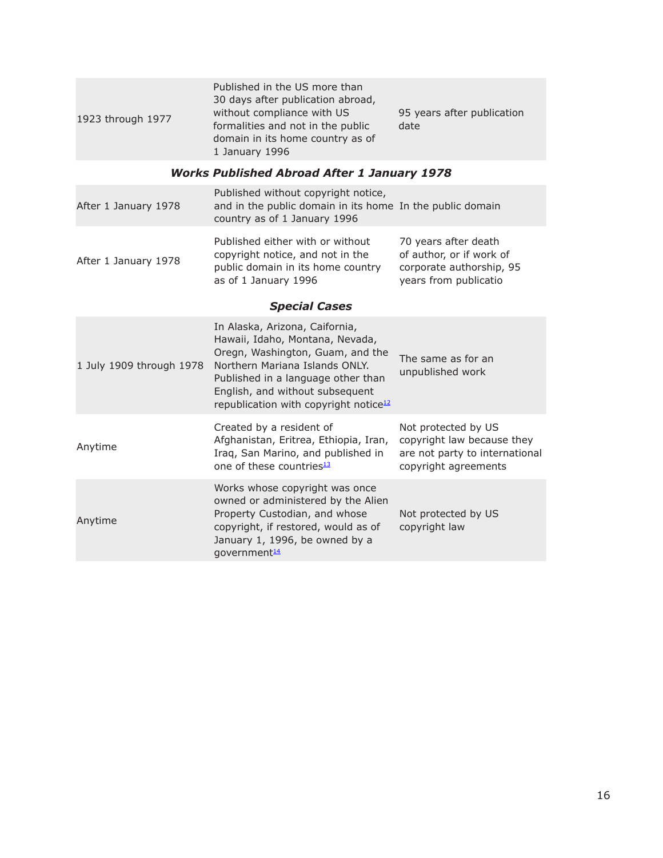| 1923 through 1977        | Published in the US more than<br>30 days after publication abroad,<br>without compliance with US<br>formalities and not in the public<br>domain in its home country as of<br>1 January 1996                                                                           | 95 years after publication<br>date                                                                          |
|--------------------------|-----------------------------------------------------------------------------------------------------------------------------------------------------------------------------------------------------------------------------------------------------------------------|-------------------------------------------------------------------------------------------------------------|
|                          | <b>Works Published Abroad After 1 January 1978</b>                                                                                                                                                                                                                    |                                                                                                             |
| After 1 January 1978     | Published without copyright notice,<br>and in the public domain in its home In the public domain<br>country as of 1 January 1996                                                                                                                                      |                                                                                                             |
| After 1 January 1978     | Published either with or without<br>copyright notice, and not in the<br>public domain in its home country<br>as of 1 January 1996                                                                                                                                     | 70 years after death<br>of author, or if work of<br>corporate authorship, 95<br>years from publicatio       |
|                          | <b>Special Cases</b>                                                                                                                                                                                                                                                  |                                                                                                             |
| 1 July 1909 through 1978 | In Alaska, Arizona, Caifornia,<br>Hawaii, Idaho, Montana, Nevada,<br>Oregn, Washington, Guam, and the<br>Northern Mariana Islands ONLY.<br>Published in a language other than<br>English, and without subsequent<br>republication with copyright notice <sup>12</sup> | The same as for an<br>unpublished work                                                                      |
| Anytime                  | Created by a resident of<br>Afghanistan, Eritrea, Ethiopia, Iran,<br>Iraq, San Marino, and published in<br>one of these countries <sup>13</sup>                                                                                                                       | Not protected by US<br>copyright law because they<br>are not party to international<br>copyright agreements |
| Anytime                  | Works whose copyright was once<br>owned or administered by the Alien<br>Property Custodian, and whose<br>copyright, if restored, would as of<br>January 1, 1996, be owned by a<br>government <sup>14</sup>                                                            | Not protected by US<br>copyright law                                                                        |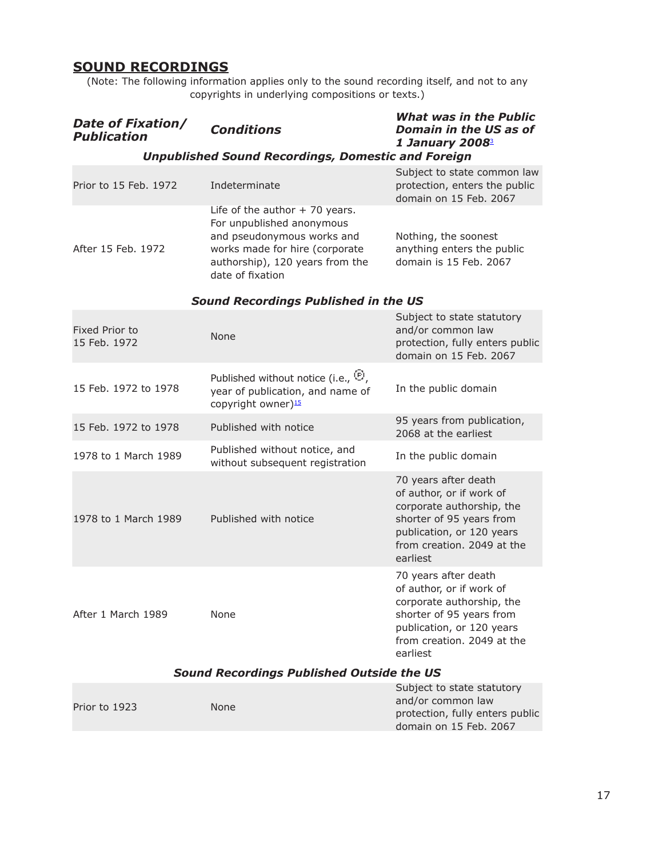### **SOUND RECORDINGS**

(Note: The following information applies only to the sound recording itself, and not to any copyrights in underlying compositions or texts.)

| Date of Fixation/<br><b>Publication</b>          | <b>Conditions</b>                                                                                                                                                                   | <b>What was in the Public</b><br><b>Domain in the US as of</b><br>1 January 20083                                                                                                |  |
|--------------------------------------------------|-------------------------------------------------------------------------------------------------------------------------------------------------------------------------------------|----------------------------------------------------------------------------------------------------------------------------------------------------------------------------------|--|
|                                                  | <b>Unpublished Sound Recordings, Domestic and Foreign</b>                                                                                                                           |                                                                                                                                                                                  |  |
| Prior to 15 Feb. 1972                            | Indeterminate                                                                                                                                                                       | Subject to state common law<br>protection, enters the public<br>domain on 15 Feb. 2067                                                                                           |  |
| After 15 Feb. 1972                               | Life of the author $+70$ years.<br>For unpublished anonymous<br>and pseudonymous works and<br>works made for hire (corporate<br>authorship), 120 years from the<br>date of fixation | Nothing, the soonest<br>anything enters the public<br>domain is 15 Feb. 2067                                                                                                     |  |
|                                                  | <b>Sound Recordings Published in the US</b>                                                                                                                                         |                                                                                                                                                                                  |  |
| Fixed Prior to<br>15 Feb. 1972                   | None                                                                                                                                                                                | Subject to state statutory<br>and/or common law<br>protection, fully enters public<br>domain on 15 Feb. 2067                                                                     |  |
| 15 Feb. 1972 to 1978                             | Published without notice (i.e., $\Theta$ ,<br>year of publication, and name of<br>copyright owner) <sup>15</sup>                                                                    | In the public domain                                                                                                                                                             |  |
| 15 Feb. 1972 to 1978                             | Published with notice                                                                                                                                                               | 95 years from publication,<br>2068 at the earliest                                                                                                                               |  |
| 1978 to 1 March 1989                             | Published without notice, and<br>without subsequent registration                                                                                                                    | In the public domain                                                                                                                                                             |  |
| 1978 to 1 March 1989                             | Published with notice                                                                                                                                                               | 70 years after death<br>of author, or if work of<br>corporate authorship, the<br>shorter of 95 years from<br>publication, or 120 years<br>from creation. 2049 at the<br>earliest |  |
| After 1 March 1989                               | None                                                                                                                                                                                | 70 years after death<br>of author, or if work of<br>corporate authorship, the<br>shorter of 95 years from<br>publication, or 120 years<br>from creation. 2049 at the<br>earliest |  |
| <b>Sound Recordings Published Outside the US</b> |                                                                                                                                                                                     |                                                                                                                                                                                  |  |
| Prior to 1923                                    | None                                                                                                                                                                                | Subject to state statutory<br>and/or common law<br>protection, fully enters public<br>domain on 15 Feb. 2067                                                                     |  |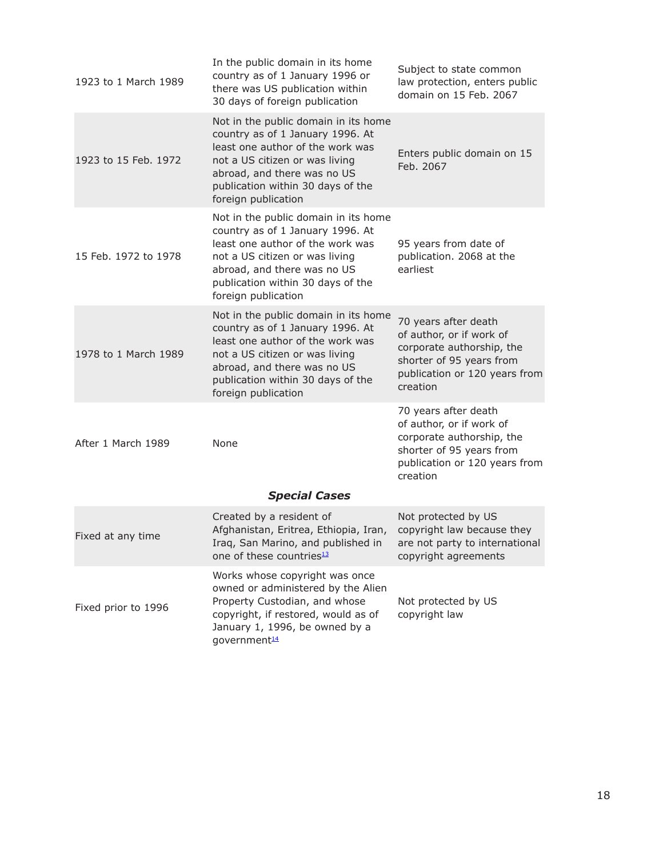| 1923 to 1 March 1989 | In the public domain in its home<br>country as of 1 January 1996 or<br>there was US publication within<br>30 days of foreign publication                                                                                                  | Subject to state common<br>law protection, enters public<br>domain on 15 Feb. 2067                                                                     |  |
|----------------------|-------------------------------------------------------------------------------------------------------------------------------------------------------------------------------------------------------------------------------------------|--------------------------------------------------------------------------------------------------------------------------------------------------------|--|
| 1923 to 15 Feb. 1972 | Not in the public domain in its home<br>country as of 1 January 1996. At<br>least one author of the work was<br>not a US citizen or was living<br>abroad, and there was no US<br>publication within 30 days of the<br>foreign publication | Enters public domain on 15<br>Feb. 2067                                                                                                                |  |
| 15 Feb. 1972 to 1978 | Not in the public domain in its home<br>country as of 1 January 1996. At<br>least one author of the work was<br>not a US citizen or was living<br>abroad, and there was no US<br>publication within 30 days of the<br>foreign publication | 95 years from date of<br>publication. 2068 at the<br>earliest                                                                                          |  |
| 1978 to 1 March 1989 | Not in the public domain in its home<br>country as of 1 January 1996. At<br>least one author of the work was<br>not a US citizen or was living<br>abroad, and there was no US<br>publication within 30 days of the<br>foreign publication | 70 years after death<br>of author, or if work of<br>corporate authorship, the<br>shorter of 95 years from<br>publication or 120 years from<br>creation |  |
| After 1 March 1989   | None                                                                                                                                                                                                                                      | 70 years after death<br>of author, or if work of<br>corporate authorship, the<br>shorter of 95 years from<br>publication or 120 years from<br>creation |  |
| <b>Special Cases</b> |                                                                                                                                                                                                                                           |                                                                                                                                                        |  |
| Fixed at any time    | Created by a resident of<br>Afghanistan, Eritrea, Ethiopia, Iran,<br>Iraq, San Marino, and published in<br>one of these countries <sup>13</sup>                                                                                           | Not protected by US<br>copyright law because they<br>are not party to international<br>copyright agreements                                            |  |
| Fixed prior to 1996  | Works whose copyright was once<br>owned or administered by the Alien<br>Property Custodian, and whose<br>copyright, if restored, would as of<br>January 1, 1996, be owned by a<br>government <sup>14</sup>                                | Not protected by US<br>copyright law                                                                                                                   |  |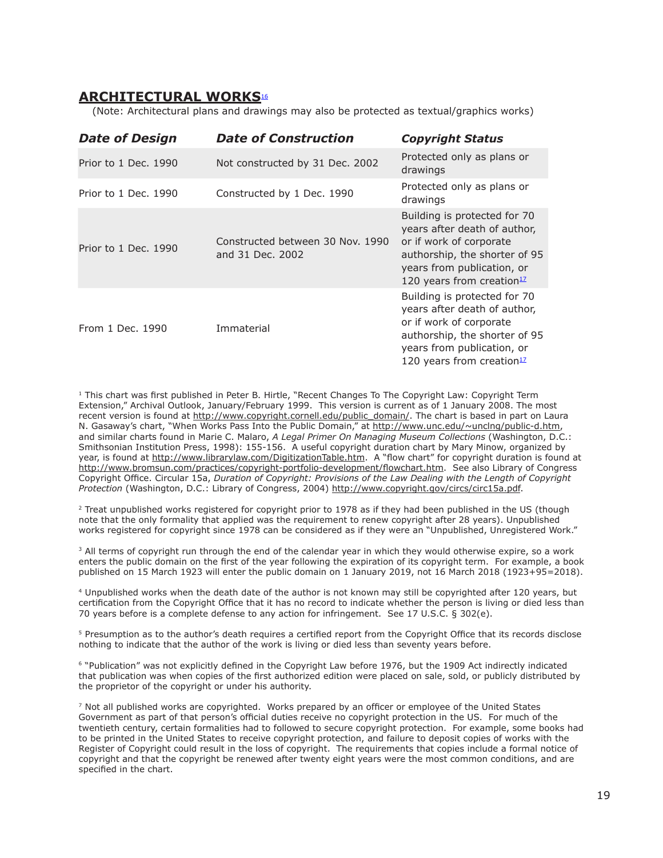### **ARCHITECTURAL WORKS**<sup>16</sup>

(Note: Architectural plans and drawings may also be protected as textual/graphics works)

| <b>Date of Design</b> | <b>Date of Construction</b>                          | <b>Copyright Status</b>                                                                                                                                                                         |
|-----------------------|------------------------------------------------------|-------------------------------------------------------------------------------------------------------------------------------------------------------------------------------------------------|
| Prior to 1 Dec. 1990  | Not constructed by 31 Dec. 2002                      | Protected only as plans or<br>drawings                                                                                                                                                          |
| Prior to 1 Dec. 1990  | Constructed by 1 Dec. 1990                           | Protected only as plans or<br>drawings                                                                                                                                                          |
| Prior to 1 Dec. 1990  | Constructed between 30 Nov. 1990<br>and 31 Dec. 2002 | Building is protected for 70<br>years after death of author,<br>or if work of corporate<br>authorship, the shorter of 95<br>years from publication, or<br>120 years from creation $12$          |
| From 1 Dec. 1990      | Immaterial                                           | Building is protected for 70<br>years after death of author,<br>or if work of corporate<br>authorship, the shorter of 95<br>years from publication, or<br>120 years from creation <sup>12</sup> |

<sup>1</sup> This chart was first published in Peter B. Hirtle, "Recent Changes To The Copyright Law: Copyright Term Extension," Archival Outlook, January/February 1999. This version is current as of 1 January 2008. The most recent version is found at http://www.copyright.cornell.edu/public\_domain/. The chart is based in part on Laura N. Gasaway's chart, "When Works Pass Into the Public Domain," at http://www.unc.edu/~unclng/public-d.htm, and similar charts found in Marie C. Malaro, *A Legal Primer On Managing Museum Collections* (Washington, D.C.: Smithsonian Institution Press, 1998): 155-156. A useful copyright duration chart by Mary Minow, organized by year, is found at http://www.librarylaw.com/DigitizationTable.htm. A "flow chart" for copyright duration is found at http://www.bromsun.com/practices/copyright-portfolio-development/flowchart.htm. See also Library of Congress Copyright Office. Circular 15a, *Duration of Copyright: Provisions of the Law Dealing with the Length of Copyright Protection* (Washington, D.C.: Library of Congress, 2004) http://www.copyright.gov/circs/circ15a.pdf.

<sup>2</sup> Treat unpublished works registered for copyright prior to 1978 as if they had been published in the US (though note that the only formality that applied was the requirement to renew copyright after 28 years). Unpublished works registered for copyright since 1978 can be considered as if they were an "Unpublished, Unregistered Work."

<sup>3</sup> All terms of copyright run through the end of the calendar year in which they would otherwise expire, so a work enters the public domain on the first of the year following the expiration of its copyright term. For example, a book published on 15 March 1923 will enter the public domain on 1 January 2019, not 16 March 2018 (1923+95=2018).

4 Unpublished works when the death date of the author is not known may still be copyrighted after 120 years, but certification from the Copyright Office that it has no record to indicate whether the person is living or died less than 70 years before is a complete defense to any action for infringement. See 17 U.S.C. § 302(e).

5 Presumption as to the author's death requires a certified report from the Copyright Office that its records disclose nothing to indicate that the author of the work is living or died less than seventy years before.

6 "Publication" was not explicitly defined in the Copyright Law before 1976, but the 1909 Act indirectly indicated that publication was when copies of the first authorized edition were placed on sale, sold, or publicly distributed by the proprietor of the copyright or under his authority.

7 Not all published works are copyrighted. Works prepared by an officer or employee of the United States Government as part of that person's official duties receive no copyright protection in the US. For much of the twentieth century, certain formalities had to followed to secure copyright protection. For example, some books had to be printed in the United States to receive copyright protection, and failure to deposit copies of works with the Register of Copyright could result in the loss of copyright. The requirements that copies include a formal notice of copyright and that the copyright be renewed after twenty eight years were the most common conditions, and are specified in the chart.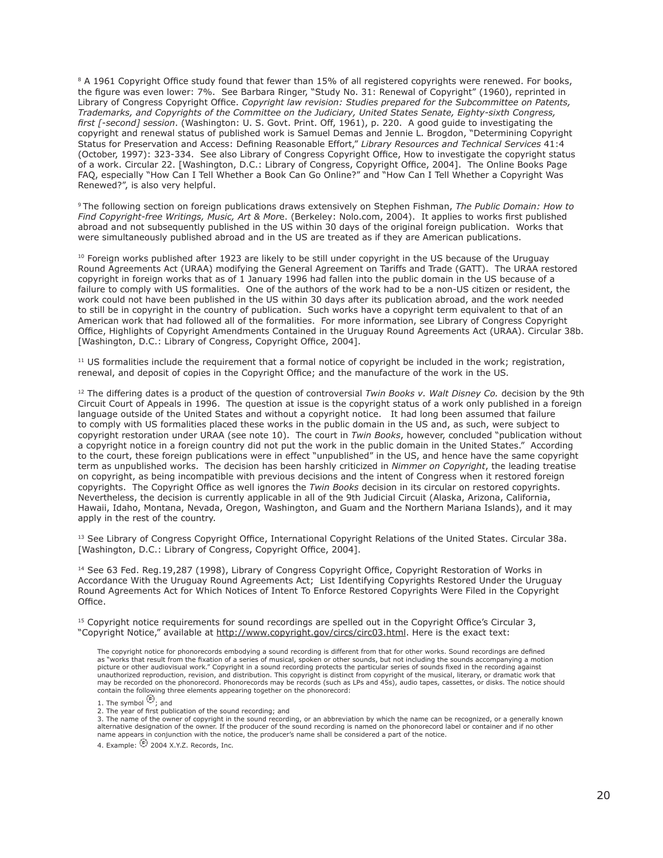<sup>8</sup> A 1961 Copyright Office study found that fewer than 15% of all registered copyrights were renewed. For books, the figure was even lower: 7%. See Barbara Ringer, "Study No. 31: Renewal of Copyright" (1960), reprinted in Library of Congress Copyright Office. *Copyright law revision: Studies prepared for the Subcommittee on Patents, Trademarks, and Copyrights of the Committee on the Judiciary, United States Senate, Eighty-sixth Congress, first [-second] session*. (Washington: U. S. Govt. Print. Off, 1961), p. 220. A good guide to investigating the copyright and renewal status of published work is Samuel Demas and Jennie L. Brogdon, "Determining Copyright Status for Preservation and Access: Defining Reasonable Effort," *Library Resources and Technical Services* 41:4 (October, 1997): 323-334. See also Library of Congress Copyright Office, How to investigate the copyright status of a work. Circular 22. [Washington, D.C.: Library of Congress, Copyright Office, 2004]. The Online Books Page FAQ, especially "How Can I Tell Whether a Book Can Go Online?" and "How Can I Tell Whether a Copyright Was Renewed?", is also very helpful.

9 The following section on foreign publications draws extensively on Stephen Fishman, *The Public Domain: How to Find Copyright-free Writings, Music, Art & Mor*e. (Berkeley: Nolo.com, 2004). It applies to works first published abroad and not subsequently published in the US within 30 days of the original foreign publication. Works that were simultaneously published abroad and in the US are treated as if they are American publications.

 $10$  Foreign works published after 1923 are likely to be still under copyright in the US because of the Uruguay Round Agreements Act (URAA) modifying the General Agreement on Tariffs and Trade (GATT). The URAA restored copyright in foreign works that as of 1 January 1996 had fallen into the public domain in the US because of a failure to comply with US formalities. One of the authors of the work had to be a non-US citizen or resident, the work could not have been published in the US within 30 days after its publication abroad, and the work needed to still be in copyright in the country of publication. Such works have a copyright term equivalent to that of an American work that had followed all of the formalities. For more information, see Library of Congress Copyright Office, Highlights of Copyright Amendments Contained in the Uruguay Round Agreements Act (URAA). Circular 38b. [Washington, D.C.: Library of Congress, Copyright Office, 2004].

<sup>11</sup> US formalities include the requirement that a formal notice of copyright be included in the work; registration, renewal, and deposit of copies in the Copyright Office; and the manufacture of the work in the US.

12 The differing dates is a product of the question of controversial *Twin Books v. Walt Disney Co.* decision by the 9th Circuit Court of Appeals in 1996. The question at issue is the copyright status of a work only published in a foreign language outside of the United States and without a copyright notice. It had long been assumed that failure to comply with US formalities placed these works in the public domain in the US and, as such, were subject to copyright restoration under URAA (see note 10). The court in *Twin Books*, however, concluded "publication without a copyright notice in a foreign country did not put the work in the public domain in the United States." According to the court, these foreign publications were in effect "unpublished" in the US, and hence have the same copyright term as unpublished works. The decision has been harshly criticized in *Nimmer on Copyright*, the leading treatise on copyright, as being incompatible with previous decisions and the intent of Congress when it restored foreign copyrights. The Copyright Office as well ignores the *Twin Books* decision in its circular on restored copyrights. Nevertheless, the decision is currently applicable in all of the 9th Judicial Circuit (Alaska, Arizona, California, Hawaii, Idaho, Montana, Nevada, Oregon, Washington, and Guam and the Northern Mariana Islands), and it may apply in the rest of the country.

<sup>13</sup> See Library of Congress Copyright Office, International Copyright Relations of the United States. Circular 38a. [Washington, D.C.: Library of Congress, Copyright Office, 2004].

<sup>14</sup> See 63 Fed. Reg.19,287 (1998), Library of Congress Copyright Office, Copyright Restoration of Works in Accordance With the Uruguay Round Agreements Act; List Identifying Copyrights Restored Under the Uruguay Round Agreements Act for Which Notices of Intent To Enforce Restored Copyrights Were Filed in the Copyright Office.

 $15$  Copyright notice requirements for sound recordings are spelled out in the Copyright Office's Circular 3, "Copyright Notice," available at http://www.copyright.gov/circs/circ03.html. Here is the exact text:

The copyright notice for phonorecords embodying a sound recording is different from that for other works. Sound recordings are defined as "works that result from the fixation of a series of musical, spoken or other sounds, but not including the sounds accompanying a motion<br>picture or other audiovisual work." Copyright in a sound recording protects the par unauthorized reproduction, revision, and distribution. This copyright is distinct from copyright of the musical, literary, or dramatic work that may be recorded on the phonorecord. Phonorecords may be records (such as LPs and 45s), audio tapes, cassettes, or disks. The notice should contain the following three elements appearing together on the phonorecord:

2. The year of first publication of the sound recording; and

3. The name of the owner of copyright in the sound recording, or an abbreviation by which the name can be recognized, or a generally known<br>alternative designation of the owner. If the producer of the sound recording is nam name appears in conjunction with the notice, the producer's name shall be considered a part of the notice.

4. Example:  $\overline{E}$  2004 X.Y.Z. Records, Inc.

<sup>1.</sup> The symbol  $\overline{\Theta}$ ; and